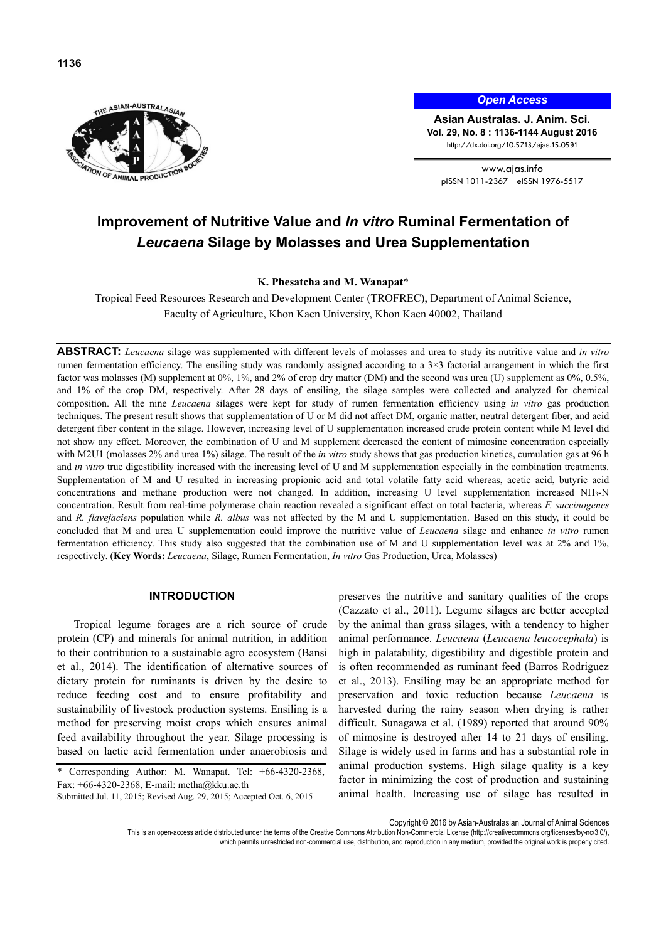

*Open Access*

**Asian Australas. J. Anim. Sci. Vol. 29, No. 8 : 1136-1144 August 2016**  http://dx.doi.org/10.5713/ajas.15.0591

www.ajas.info pISSN 1011-2367 eISSN 1976-5517

# **Improvement of Nutritive Value and** *In vitro* **Ruminal Fermentation of**  *Leucaena* **Silage by Molasses and Urea Supplementation**

**K. Phesatcha and M. Wanapat**\*

Tropical Feed Resources Research and Development Center (TROFREC), Department of Animal Science, Faculty of Agriculture, Khon Kaen University, Khon Kaen 40002, Thailand

**ABSTRACT:** *Leucaena* silage was supplemented with different levels of molasses and urea to study its nutritive value and *in vitro* rumen fermentation efficiency. The ensiling study was randomly assigned according to a 3×3 factorial arrangement in which the first factor was molasses (M) supplement at 0%, 1%, and 2% of crop dry matter (DM) and the second was urea (U) supplement as 0%, 0.5%, and 1% of the crop DM, respectively. After 28 days of ensiling*,* the silage samples were collected and analyzed for chemical composition. All the nine *Leucaena* silages were kept for study of rumen fermentation efficiency using *in vitro* gas production techniques. The present result shows that supplementation of U or M did not affect DM, organic matter, neutral detergent fiber, and acid detergent fiber content in the silage. However, increasing level of U supplementation increased crude protein content while M level did not show any effect. Moreover, the combination of U and M supplement decreased the content of mimosine concentration especially with M2U1 (molasses 2% and urea 1%) silage. The result of the *in vitro* study shows that gas production kinetics, cumulation gas at 96 h and *in vitro* true digestibility increased with the increasing level of U and M supplementation especially in the combination treatments. Supplementation of M and U resulted in increasing propionic acid and total volatile fatty acid whereas, acetic acid, butyric acid concentrations and methane production were not changed. In addition, increasing U level supplementation increased NH3-N concentration. Result from real-time polymerase chain reaction revealed a significant effect on total bacteria, whereas *F. succinogenes*  and *R. flavefaciens* population while *R. albus* was not affected by the M and U supplementation. Based on this study, it could be concluded that M and urea U supplementation could improve the nutritive value of *Leucaena* silage and enhance *in vitro* rumen fermentation efficiency. This study also suggested that the combination use of M and U supplementation level was at 2% and 1%, respectively. (**Key Words:** *Leucaena*, Silage, Rumen Fermentation, *In vitro* Gas Production, Urea, Molasses)

## **INTRODUCTION**

Tropical legume forages are a rich source of crude protein (CP) and minerals for animal nutrition, in addition to their contribution to a sustainable agro ecosystem (Bansi et al., 2014). The identification of alternative sources of dietary protein for ruminants is driven by the desire to reduce feeding cost and to ensure profitability and sustainability of livestock production systems. Ensiling is a method for preserving moist crops which ensures animal feed availability throughout the year. Silage processing is based on lactic acid fermentation under anaerobiosis and

Submitted Jul. 11, 2015; Revised Aug. 29, 2015; Accepted Oct. 6, 2015

preserves the nutritive and sanitary qualities of the crops (Cazzato et al., 2011). Legume silages are better accepted by the animal than grass silages, with a tendency to higher animal performance. *Leucaena* (*Leucaena leucocephala*) is high in palatability, digestibility and digestible protein and is often recommended as ruminant feed (Barros Rodriguez et al., 2013). Ensiling may be an appropriate method for preservation and toxic reduction because *Leucaena* is harvested during the rainy season when drying is rather difficult. Sunagawa et al. (1989) reported that around 90% of mimosine is destroyed after 14 to 21 days of ensiling. Silage is widely used in farms and has a substantial role in animal production systems. High silage quality is a key factor in minimizing the cost of production and sustaining animal health. Increasing use of silage has resulted in

Copyright © 2016 by Asian-Australasian Journal of Animal Sciences

This is an open-access article distributed under the terms of the Creative Commons Attribution Non-Commercial License (http://creativecommons.org/licenses/by-nc/3.0/), which permits unrestricted non-commercial use, distribution, and reproduction in any medium, provided the original work is properly cited.

<sup>\*</sup> Corresponding Author: M. Wanapat. Tel: +66-4320-2368, Fax: +66-4320-2368, E-mail: metha@kku.ac.th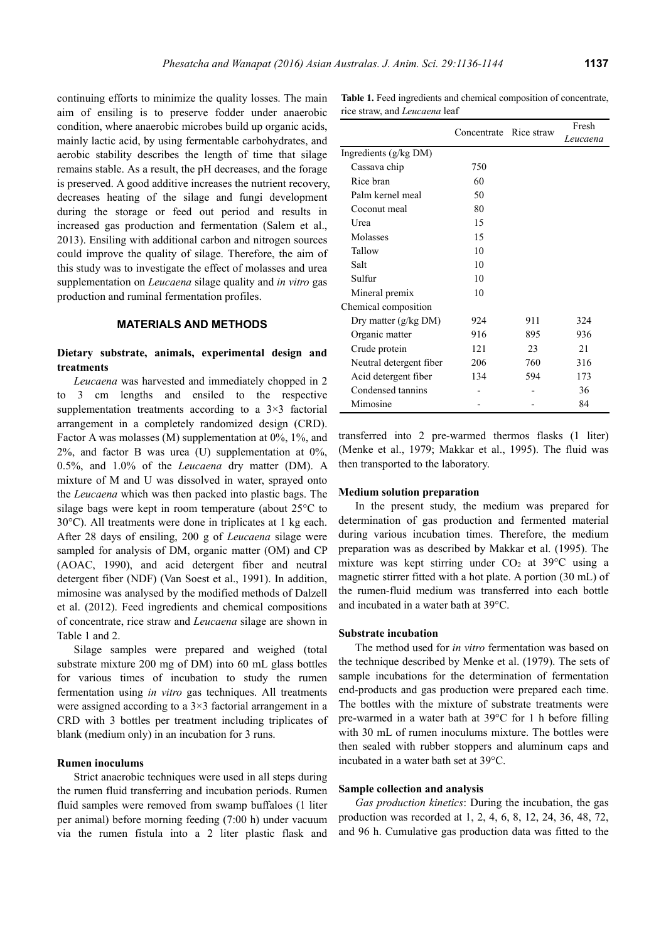continuing efforts to minimize the quality losses. The main aim of ensiling is to preserve fodder under anaerobic condition, where anaerobic microbes build up organic acids, mainly lactic acid, by using fermentable carbohydrates, and aerobic stability describes the length of time that silage remains stable. As a result, the pH decreases, and the forage is preserved. A good additive increases the nutrient recovery, decreases heating of the silage and fungi development during the storage or feed out period and results in increased gas production and fermentation (Salem et al., 2013). Ensiling with additional carbon and nitrogen sources could improve the quality of silage. Therefore, the aim of this study was to investigate the effect of molasses and urea supplementation on *Leucaena* silage quality and *in vitro* gas production and ruminal fermentation profiles.

# **MATERIALS AND METHODS**

# **Dietary substrate, animals, experimental design and treatments**

*Leucaena* was harvested and immediately chopped in 2 to 3 cm lengths and ensiled to the respective supplementation treatments according to a  $3\times3$  factorial arrangement in a completely randomized design (CRD). Factor A was molasses (M) supplementation at 0%, 1%, and  $2\%$ , and factor B was urea (U) supplementation at  $0\%$ , 0.5%, and 1.0% of the *Leucaena* dry matter (DM). A mixture of M and U was dissolved in water, sprayed onto the *Leucaena* which was then packed into plastic bags. The silage bags were kept in room temperature (about 25°C to 30°C). All treatments were done in triplicates at 1 kg each. After 28 days of ensiling, 200 g of *Leucaena* silage were sampled for analysis of DM, organic matter (OM) and CP (AOAC, 1990), and acid detergent fiber and neutral detergent fiber (NDF) (Van Soest et al., 1991). In addition, mimosine was analysed by the modified methods of Dalzell et al. (2012). Feed ingredients and chemical compositions of concentrate, rice straw and *Leucaena* silage are shown in Table 1 and 2.

Silage samples were prepared and weighed (total substrate mixture 200 mg of DM) into 60 mL glass bottles for various times of incubation to study the rumen fermentation using *in vitro* gas techniques. All treatments were assigned according to a 3×3 factorial arrangement in a CRD with 3 bottles per treatment including triplicates of blank (medium only) in an incubation for 3 runs.

# **Rumen inoculums**

Strict anaerobic techniques were used in all steps during the rumen fluid transferring and incubation periods. Rumen fluid samples were removed from swamp buffaloes (1 liter per animal) before morning feeding (7:00 h) under vacuum via the rumen fistula into a 2 liter plastic flask and

| <b>Table 1.</b> Feed ingredients and chemical composition of concentrate, |  |  |
|---------------------------------------------------------------------------|--|--|
| rice straw, and <i>Leucaena</i> leaf                                      |  |  |

|                         | Concentrate | Rice straw | Fresh    |
|-------------------------|-------------|------------|----------|
|                         |             |            | Leucaena |
| Ingredients (g/kg DM)   |             |            |          |
| Cassava chip            | 750         |            |          |
| Rice bran               | 60          |            |          |
| Palm kernel meal        | 50          |            |          |
| Coconut meal            | 80          |            |          |
| I Irea                  | 15          |            |          |
| Molasses                | 15          |            |          |
| Tallow                  | 10          |            |          |
| Salt                    | 10          |            |          |
| Sulfur                  | 10          |            |          |
| Mineral premix          | 10          |            |          |
| Chemical composition    |             |            |          |
| Dry matter $(g/kg DM)$  | 924         | 911        | 324      |
| Organic matter          | 916         | 895        | 936      |
| Crude protein           | 121         | 23         | 21       |
| Neutral detergent fiber | 206         | 760        | 316      |
| Acid detergent fiber    | 134         | 594        | 173      |
| Condensed tannins       |             |            | 36       |
| Mimosine                |             |            | 84       |

transferred into 2 pre-warmed thermos flasks (1 liter) (Menke et al., 1979; Makkar et al., 1995). The fluid was then transported to the laboratory.

#### **Medium solution preparation**

In the present study, the medium was prepared for determination of gas production and fermented material during various incubation times. Therefore, the medium preparation was as described by Makkar et al. (1995). The mixture was kept stirring under  $CO<sub>2</sub>$  at 39 $\degree$ C using a magnetic stirrer fitted with a hot plate. A portion (30 mL) of the rumen-fluid medium was transferred into each bottle and incubated in a water bath at 39°C.

## **Substrate incubation**

The method used for *in vitro* fermentation was based on the technique described by Menke et al. (1979). The sets of sample incubations for the determination of fermentation end-products and gas production were prepared each time. The bottles with the mixture of substrate treatments were pre-warmed in a water bath at 39°C for 1 h before filling with 30 mL of rumen inoculums mixture. The bottles were then sealed with rubber stoppers and aluminum caps and incubated in a water bath set at 39°C.

## **Sample collection and analysis**

*Gas production kinetics*: During the incubation, the gas production was recorded at 1, 2, 4, 6, 8, 12, 24, 36, 48, 72, and 96 h. Cumulative gas production data was fitted to the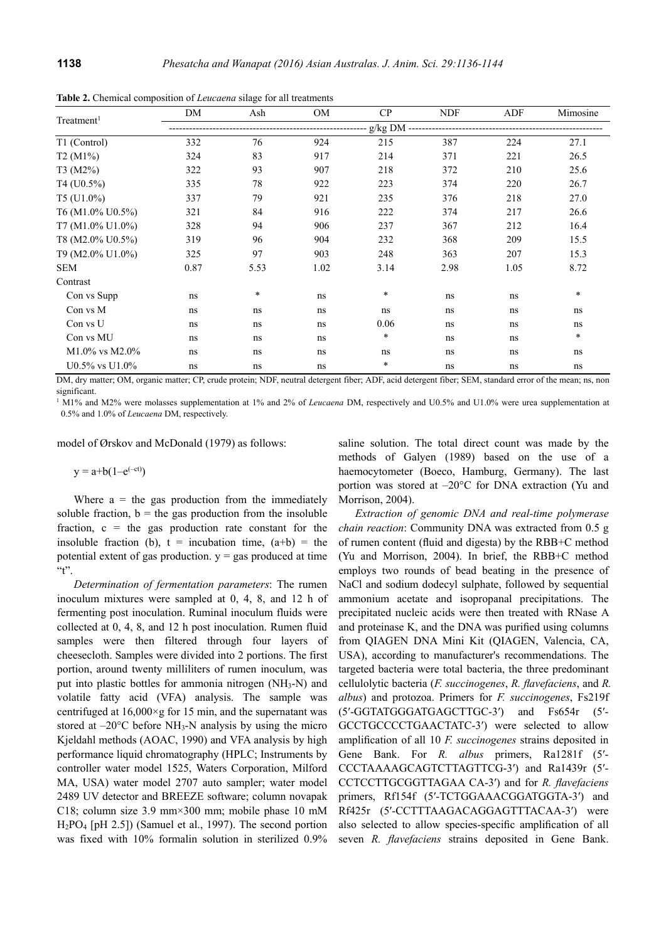| Treatment <sup>1</sup> | DM                                | Ash  | <b>OM</b> | CP     | <b>NDF</b> | ADF  | Mimosine |  |  |
|------------------------|-----------------------------------|------|-----------|--------|------------|------|----------|--|--|
|                        | g/kg DM ------------------------- |      |           |        |            |      |          |  |  |
| T1 (Control)           | 332                               | 76   | 924       | 215    | 387        | 224  | 27.1     |  |  |
| T2 (M1%)               | 324                               | 83   | 917       | 214    | 371        | 221  | 26.5     |  |  |
| T3 (M2%)               | 322                               | 93   | 907       | 218    | 372        | 210  | 25.6     |  |  |
| $T4 (U0.5\%)$          | 335                               | 78   | 922       | 223    | 374        | 220  | 26.7     |  |  |
| $T5$ (U1.0%)           | 337                               | 79   | 921       | 235    | 376        | 218  | 27.0     |  |  |
| T6 (M1.0% U0.5%)       | 321                               | 84   | 916       | 222    | 374        | 217  | 26.6     |  |  |
| T7 (M1.0% U1.0%)       | 328                               | 94   | 906       | 237    | 367        | 212  | 16.4     |  |  |
| T8 (M2.0% U0.5%)       | 319                               | 96   | 904       | 232    | 368        | 209  | 15.5     |  |  |
| T9 (M2.0% U1.0%)       | 325                               | 97   | 903       | 248    | 363        | 207  | 15.3     |  |  |
| <b>SEM</b>             | 0.87                              | 5.53 | 1.02      | 3.14   | 2.98       | 1.05 | 8.72     |  |  |
| Contrast               |                                   |      |           |        |            |      |          |  |  |
| Con vs Supp            | ns                                | *    | ns        | $\ast$ | ns         | ns   | *        |  |  |
| Con vs M               | ns                                | ns   | ns        | ns     | ns         | ns   | ns       |  |  |
| Con vs U               | ns                                | ns   | ns        | 0.06   | ns         | ns   | ns       |  |  |
| Con vs MU              | ns                                | ns   | ns        | $\ast$ | ns         | ns   | *        |  |  |
| $M1.0\%$ vs $M2.0\%$   | ns                                | ns   | ns        | ns     | ns         | ns   | ns       |  |  |
| $U0.5\%$ vs $U1.0\%$   | ns                                | ns   | ns        | $\ast$ | ns         | ns   | ns       |  |  |

**Table 2.** Chemical composition of *Leucaena* silage for all treatments

DM, dry matter; OM, organic matter; CP, crude protein; NDF, neutral detergent fiber; ADF, acid detergent fiber; SEM, standard error of the mean; ns, non significant.

<sup>1</sup> M1% and M2% were molasses supplementation at 1% and 2% of *Leucaena* DM, respectively and U0.5% and U1.0% were urea supplementation at 0.5% and 1.0% of *Leucaena* DM, respectively.

model of Ørskov and McDonald (1979) as follows:

 $y = a+b(1-e^{(-ct)})$ 

Where  $a =$  the gas production from the immediately soluble fraction,  $b =$  the gas production from the insoluble fraction,  $c =$  the gas production rate constant for the insoluble fraction (b),  $t =$  incubation time,  $(a+b) =$  the potential extent of gas production.  $y = gas$  produced at time  $~\cdot~$ t".

*Determination of fermentation parameters*: The rumen inoculum mixtures were sampled at 0, 4, 8, and 12 h of fermenting post inoculation. Ruminal inoculum fluids were collected at 0, 4, 8, and 12 h post inoculation. Rumen fluid samples were then filtered through four layers of cheesecloth. Samples were divided into 2 portions. The first portion, around twenty milliliters of rumen inoculum, was put into plastic bottles for ammonia nitrogen (NH3-N) and volatile fatty acid (VFA) analysis. The sample was centrifuged at  $16,000 \times g$  for 15 min, and the supernatant was stored at  $-20^{\circ}$ C before NH<sub>3</sub>-N analysis by using the micro Kjeldahl methods (AOAC, 1990) and VFA analysis by high performance liquid chromatography (HPLC; Instruments by controller water model 1525, Waters Corporation, Milford MA, USA) water model 2707 auto sampler; water model 2489 UV detector and BREEZE software; column novapak C18; column size 3.9 mm×300 mm; mobile phase 10 mM H2PO4 [pH 2.5]) (Samuel et al., 1997). The second portion was fixed with 10% formalin solution in sterilized 0.9% saline solution. The total direct count was made by the methods of Galyen (1989) based on the use of a haemocytometer (Boeco, Hamburg, Germany). The last portion was stored at –20°C for DNA extraction (Yu and Morrison, 2004).

*Extraction of genomic DNA and real-time polymerase chain reaction*: Community DNA was extracted from 0.5 g of rumen content (fluid and digesta) by the RBB+C method (Yu and Morrison, 2004). In brief, the RBB+C method employs two rounds of bead beating in the presence of NaCl and sodium dodecyl sulphate, followed by sequential ammonium acetate and isopropanal precipitations. The precipitated nucleic acids were then treated with RNase A and proteinase K, and the DNA was purified using columns from QIAGEN DNA Mini Kit (QIAGEN, Valencia, CA, USA), according to manufacturer's recommendations. The targeted bacteria were total bacteria, the three predominant cellulolytic bacteria (*F. succinogenes*, *R. flavefaciens*, and *R. albus*) and protozoa. Primers for *F. succinogenes*, Fs219f (5′-GGTATGGGATGAGCTTGC-3′) and Fs654r (5′- GCCTGCCCCTGAACTATC-3′) were selected to allow amplification of all 10 *F. succinogenes* strains deposited in Gene Bank. For *R. albus* primers, Ra1281f (5′- CCCTAAAAGCAGTCTTAGTTCG-3′) and Ra1439r (5′- CCTCCTTGCGGTTAGAA CA-3′) and for *R. flavefaciens* primers, Rf154f (5′-TCTGGAAACGGATGGTA-3′) and Rf425r (5′-CCTTTAAGACAGGAGTTTACAA-3′) were also selected to allow species-specific amplification of all seven *R. flavefaciens* strains deposited in Gene Bank.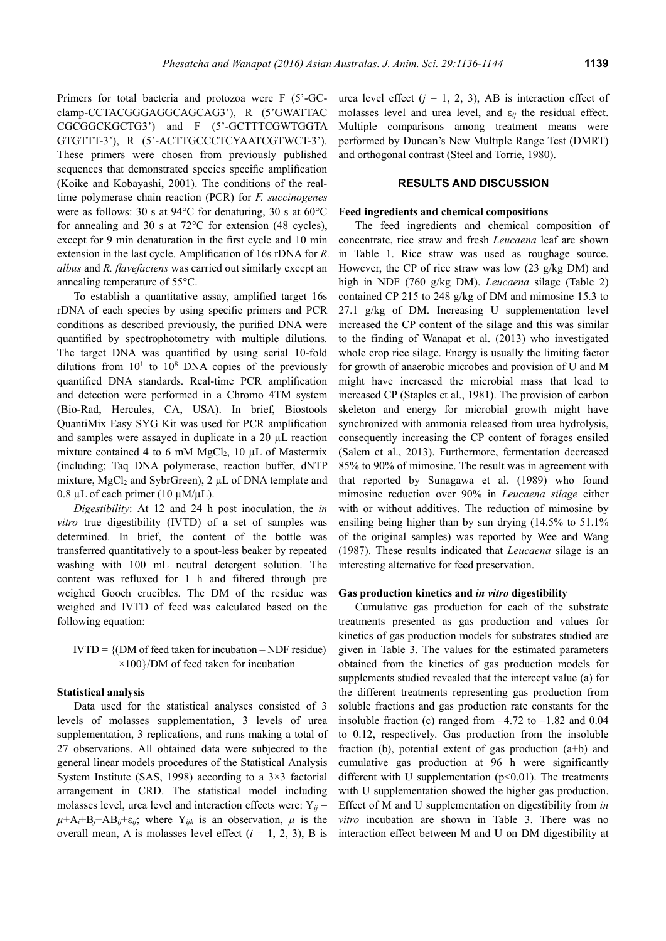Primers for total bacteria and protozoa were F (5'-GCclamp-CCTACGGGAGGCAGCAG3'), R (5'GWATTAC CGCGGCKGCTG3') and F (5'-GCTTTCGWTGGTA GTGTTT-3'), R (5'-ACTTGCCCTCYAATCGTWCT-3'). These primers were chosen from previously published sequences that demonstrated species specific amplification (Koike and Kobayashi, 2001). The conditions of the realtime polymerase chain reaction (PCR) for *F. succinogenes* were as follows: 30 s at 94°C for denaturing, 30 s at 60°C for annealing and 30 s at 72°C for extension (48 cycles), except for 9 min denaturation in the first cycle and 10 min extension in the last cycle. Amplification of 16s rDNA for *R. albus* and *R. flavefaciens* was carried out similarly except an annealing temperature of 55°C.

To establish a quantitative assay, amplified target 16s rDNA of each species by using specific primers and PCR conditions as described previously, the purified DNA were quantified by spectrophotometry with multiple dilutions. The target DNA was quantified by using serial 10-fold dilutions from  $10<sup>1</sup>$  to  $10<sup>8</sup>$  DNA copies of the previously quantified DNA standards. Real-time PCR amplification and detection were performed in a Chromo 4TM system (Bio-Rad, Hercules, CA, USA). In brief, Biostools QuantiMix Easy SYG Kit was used for PCR amplification and samples were assayed in duplicate in a 20 µL reaction mixture contained 4 to 6 mM  $MgCl<sub>2</sub>$ , 10 µL of Mastermix (including; Taq DNA polymerase, reaction buffer, dNTP mixture, MgCl<sub>2</sub> and SybrGreen), 2 µL of DNA template and 0.8  $\mu$ L of each primer (10  $\mu$ M/ $\mu$ L).

*Digestibility*: At 12 and 24 h post inoculation, the *in vitro* true digestibility (IVTD) of a set of samples was determined. In brief, the content of the bottle was transferred quantitatively to a spout-less beaker by repeated washing with 100 mL neutral detergent solution. The content was refluxed for 1 h and filtered through pre weighed Gooch crucibles. The DM of the residue was weighed and IVTD of feed was calculated based on the following equation:

 $IVTD = \{(DM \space of \space feed \space taken \space for \space incubation - NDF \space residue)\}$  $\times$ 100}/DM of feed taken for incubation

#### **Statistical analysis**

Data used for the statistical analyses consisted of 3 levels of molasses supplementation, 3 levels of urea supplementation, 3 replications, and runs making a total of 27 observations. All obtained data were subjected to the general linear models procedures of the Statistical Analysis System Institute (SAS, 1998) according to a  $3\times3$  factorial arrangement in CRD. The statistical model including molasses level, urea level and interaction effects were:  $Y_{ii}$  =  $\mu+A_i+B_j+AB_{ij}+ \varepsilon_{ij}$ ; where  $Y_{ijk}$  is an observation,  $\mu$  is the overall mean, A is molasses level effect  $(i = 1, 2, 3)$ , B is urea level effect  $(j = 1, 2, 3)$ , AB is interaction effect of molasses level and urea level, and ε*ij* the residual effect. Multiple comparisons among treatment means were performed by Duncan's New Multiple Range Test (DMRT) and orthogonal contrast (Steel and Torrie, 1980).

# **RESULTS AND DISCUSSION**

#### **Feed ingredients and chemical compositions**

The feed ingredients and chemical composition of concentrate, rice straw and fresh *Leucaena* leaf are shown in Table 1. Rice straw was used as roughage source. However, the CP of rice straw was low (23 g/kg DM) and high in NDF (760 g/kg DM). *Leucaena* silage (Table 2) contained CP 215 to 248 g/kg of DM and mimosine 15.3 to 27.1 g/kg of DM. Increasing U supplementation level increased the CP content of the silage and this was similar to the finding of Wanapat et al. (2013) who investigated whole crop rice silage. Energy is usually the limiting factor for growth of anaerobic microbes and provision of U and M might have increased the microbial mass that lead to increased CP (Staples et al., 1981). The provision of carbon skeleton and energy for microbial growth might have synchronized with ammonia released from urea hydrolysis. consequently increasing the CP content of forages ensiled (Salem et al., 2013). Furthermore, fermentation decreased 85% to 90% of mimosine. The result was in agreement with that reported by Sunagawa et al. (1989) who found mimosine reduction over 90% in *Leucaena silage* either with or without additives. The reduction of mimosine by ensiling being higher than by sun drying (14.5% to 51.1% of the original samples) was reported by Wee and Wang (1987). These results indicated that *Leucaena* silage is an interesting alternative for feed preservation.

#### **Gas production kinetics and** *in vitro* **digestibility**

Cumulative gas production for each of the substrate treatments presented as gas production and values for kinetics of gas production models for substrates studied are given in Table 3. The values for the estimated parameters obtained from the kinetics of gas production models for supplements studied revealed that the intercept value (a) for the different treatments representing gas production from soluble fractions and gas production rate constants for the insoluble fraction (c) ranged from  $-4.72$  to  $-1.82$  and 0.04 to 0.12, respectively. Gas production from the insoluble fraction (b), potential extent of gas production (a+b) and cumulative gas production at 96 h were significantly different with U supplementation  $(p<0.01)$ . The treatments with U supplementation showed the higher gas production. Effect of M and U supplementation on digestibility from *in vitro* incubation are shown in Table 3. There was no interaction effect between M and U on DM digestibility at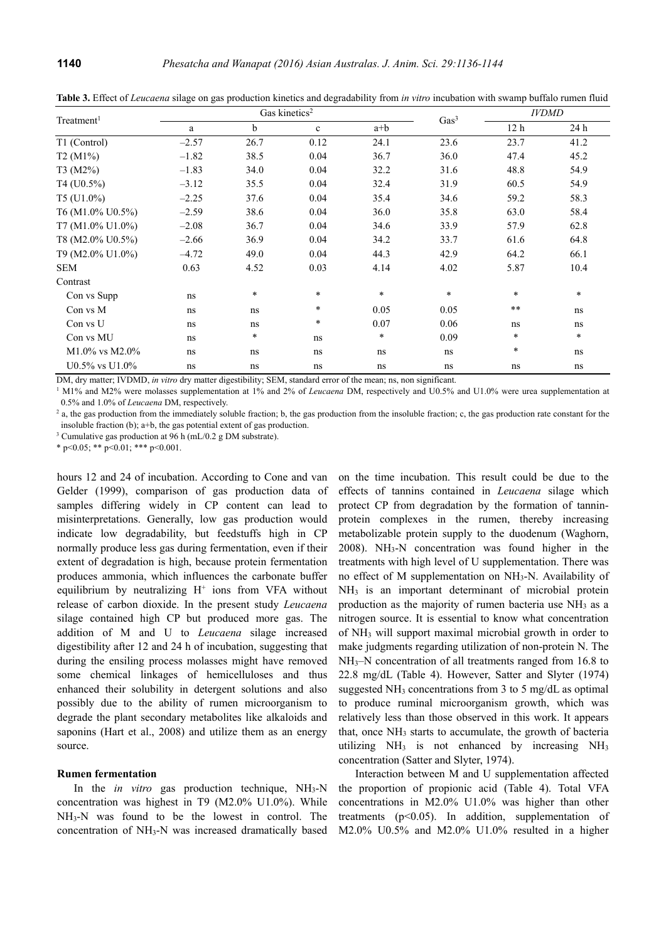| Treatment <sup>1</sup> |         |        | Gas kinetics <sup>2</sup> | Gas <sup>3</sup> | <b>IVDMD</b> |                 |        |
|------------------------|---------|--------|---------------------------|------------------|--------------|-----------------|--------|
|                        | a       | b      | $\mathbf c$               | $a+b$            |              | 12 <sub>h</sub> | 24 h   |
| T1 (Control)           | $-2.57$ | 26.7   | 0.12                      | 24.1             | 23.6         | 23.7            | 41.2   |
| $T2(M1\%)$             | $-1.82$ | 38.5   | 0.04                      | 36.7             | 36.0         | 47.4            | 45.2   |
| $T3 (M2\%)$            | $-1.83$ | 34.0   | 0.04                      | 32.2             | 31.6         | 48.8            | 54.9   |
| $T4$ (U0.5%)           | $-3.12$ | 35.5   | 0.04                      | 32.4             | 31.9         | 60.5            | 54.9   |
| $T5$ (U1.0%)           | $-2.25$ | 37.6   | 0.04                      | 35.4             | 34.6         | 59.2            | 58.3   |
| T6 (M1.0% U0.5%)       | $-2.59$ | 38.6   | 0.04                      | 36.0             | 35.8         | 63.0            | 58.4   |
| T7 (M1.0% U1.0%)       | $-2.08$ | 36.7   | 0.04                      | 34.6             | 33.9         | 57.9            | 62.8   |
| T8 (M2.0% U0.5%)       | $-2.66$ | 36.9   | 0.04                      | 34.2             | 33.7         | 61.6            | 64.8   |
| T9 (M2.0% U1.0%)       | $-4.72$ | 49.0   | 0.04                      | 44.3             | 42.9         | 64.2            | 66.1   |
| <b>SEM</b>             | 0.63    | 4.52   | 0.03                      | 4.14             | 4.02         | 5.87            | 10.4   |
| Contrast               |         |        |                           |                  |              |                 |        |
| Con vs Supp            | ns      | $\ast$ | $\ast$                    | $\ast$           | $\ast$       | $\ast$          | $\ast$ |
| Con vs M               | ns      | ns     | $\ast$                    | 0.05             | 0.05         | $* *$           | ns     |
| Con vs U               | ns      | ns     | $\ast$                    | 0.07             | 0.06         | ns              | ns     |
| Con vs MU              | ns      | $\ast$ | ns                        | $\ast$           | 0.09         | $\ast$          | $\ast$ |
| $M1.0\%$ vs $M2.0\%$   | ns      | ns     | ns                        | ns               | ns           | $\ast$          | ns     |
| U0.5% vs U1.0%         | ns      | ns     | ns                        | ns               | ns           | ns              | ns     |

**Table 3.** Effect of *Leucaena* silage on gas production kinetics and degradability from *in vitro* incubation with swamp buffalo rumen fluid

DM, dry matter: IVDMD, *in vitro* dry matter digestibility: SEM, standard error of the mean; ns, non significant.

<sup>1</sup> M1% and M2% were molasses supplementation at 1% and 2% of *Leucaena* DM, respectively and U0.5% and U1.0% were urea supplementation at 0.5% and 1.0% of *Leucaena* DM, respectively. 2

<sup>2</sup> a, the gas production from the immediately soluble fraction; b, the gas production from the insoluble fraction; c, the gas production rate constant for the insoluble fraction (b);  $a+b$ , the gas potential extent of gas production.

<sup>3</sup> Cumulative gas production at 96 h (mL/0.2 g DM substrate).

\* p<0.05; \*\* p<0.01; \*\*\* p<0.001.

hours 12 and 24 of incubation. According to Cone and van Gelder (1999), comparison of gas production data of samples differing widely in CP content can lead to misinterpretations. Generally, low gas production would indicate low degradability, but feedstuffs high in CP normally produce less gas during fermentation, even if their extent of degradation is high, because protein fermentation produces ammonia, which influences the carbonate buffer equilibrium by neutralizing  $H^+$  ions from VFA without release of carbon dioxide. In the present study *Leucaena*  silage contained high CP but produced more gas. The addition of M and U to *Leucaena* silage increased digestibility after 12 and 24 h of incubation, suggesting that during the ensiling process molasses might have removed some chemical linkages of hemicelluloses and thus enhanced their solubility in detergent solutions and also possibly due to the ability of rumen microorganism to degrade the plant secondary metabolites like alkaloids and saponins (Hart et al., 2008) and utilize them as an energy source.

# **Rumen fermentation**

In the *in vitro* gas production technique, NH<sub>3</sub>-N concentration was highest in T9 (M2.0% U1.0%). While NH3-N was found to be the lowest in control. The concentration of NH3-N was increased dramatically based

on the time incubation. This result could be due to the effects of tannins contained in *Leucaena* silage which protect CP from degradation by the formation of tanninprotein complexes in the rumen, thereby increasing metabolizable protein supply to the duodenum (Waghorn,  $2008$ ). NH<sub>3</sub>-N concentration was found higher in the treatments with high level of U supplementation. There was no effect of M supplementation on NH3-N. Availability of NH3 is an important determinant of microbial protein production as the majority of rumen bacteria use NH<sub>3</sub> as a nitrogen source. It is essential to know what concentration of NH3 will support maximal microbial growth in order to make judgments regarding utilization of non-protein N. The NH<sub>3</sub>–N concentration of all treatments ranged from 16.8 to 22.8 mg/dL (Table 4). However, Satter and Slyter (1974) suggested NH<sub>3</sub> concentrations from 3 to 5 mg/dL as optimal to produce ruminal microorganism growth, which was relatively less than those observed in this work. It appears that, once NH<sub>3</sub> starts to accumulate, the growth of bacteria utilizing  $NH<sub>3</sub>$  is not enhanced by increasing  $NH<sub>3</sub>$ concentration (Satter and Slyter, 1974).

Interaction between M and U supplementation affected the proportion of propionic acid (Table 4). Total VFA concentrations in M2.0% U1.0% was higher than other treatments (p<0.05). In addition, supplementation of M2.0% U0.5% and M2.0% U1.0% resulted in a higher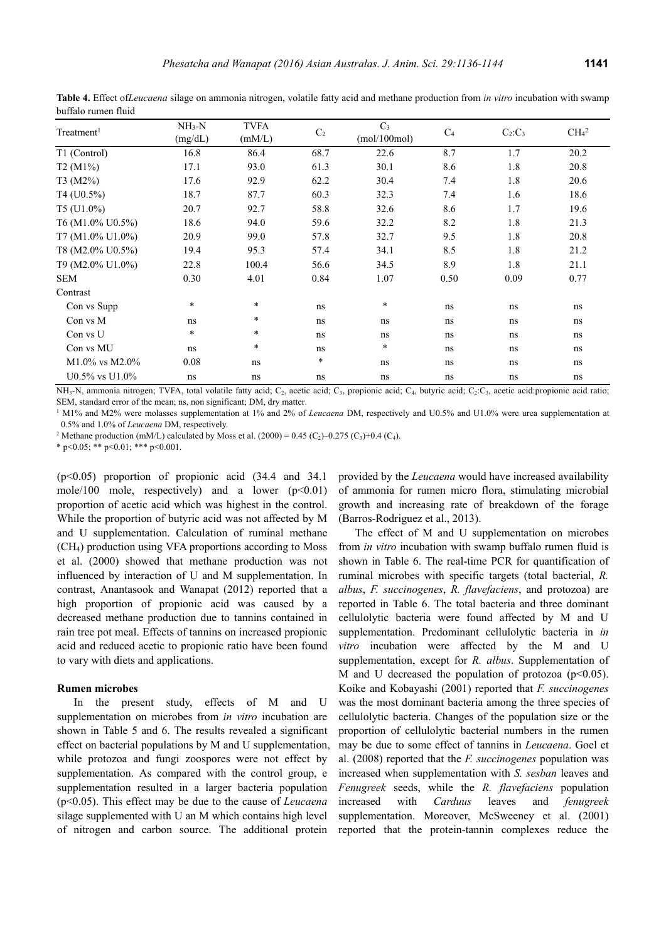| Treatment <sup>1</sup> | $NH3-N$<br>(mg/dL) | <b>TVFA</b><br>(mM/L) | $\mathrm{C}_2$ | C <sub>3</sub><br>(mol/100mol) | C <sub>4</sub> | $C_2:C_3$ | CH <sub>4</sub> <sup>2</sup> |
|------------------------|--------------------|-----------------------|----------------|--------------------------------|----------------|-----------|------------------------------|
| T1 (Control)           | 16.8               | 86.4                  | 68.7           | 22.6                           | 8.7            | 1.7       | 20.2                         |
| T2(M1%)                | 17.1               | 93.0                  | 61.3           | 30.1                           | 8.6            | 1.8       | 20.8                         |
| T3 (M2%)               | 17.6               | 92.9                  | 62.2           | 30.4                           | 7.4            | 1.8       | 20.6                         |
| T4 (U0.5%)             | 18.7               | 87.7                  | 60.3           | 32.3                           | 7.4            | 1.6       | 18.6                         |
| T5 (U1.0%)             | 20.7               | 92.7                  | 58.8           | 32.6                           | 8.6            | 1.7       | 19.6                         |
| T6 (M1.0% U0.5%)       | 18.6               | 94.0                  | 59.6           | 32.2                           | 8.2            | 1.8       | 21.3                         |
| T7 (M1.0% U1.0%)       | 20.9               | 99.0                  | 57.8           | 32.7                           | 9.5            | 1.8       | 20.8                         |
| T8 (M2.0% U0.5%)       | 19.4               | 95.3                  | 57.4           | 34.1                           | 8.5            | 1.8       | 21.2                         |
| T9 (M2.0% U1.0%)       | 22.8               | 100.4                 | 56.6           | 34.5                           | 8.9            | 1.8       | 21.1                         |
| SEM                    | 0.30               | 4.01                  | 0.84           | 1.07                           | 0.50           | 0.09      | 0.77                         |
| Contrast               |                    |                       |                |                                |                |           |                              |
| Con vs Supp            | $\ast$             | $\ast$                | ns             | $\ast$                         | ns             | ns        | ns                           |
| Con vs M               | ns                 | $\ast$                | ns             | ns                             | ns             | ns        | ns                           |
| Con vs U               | $\ast$             | $\ast$                | ns             | ns                             | ns             | ns        | ns                           |
| Con vs MU              | ns                 | $\ast$                | ns             | $\ast$                         | ns             | ns        | ns                           |
| $M1.0\%$ vs $M2.0\%$   | 0.08               | ns                    | $\ast$         | ns                             | ns             | ns        | ns                           |
| $U0.5\%$ vs $U1.0\%$   | ns                 | ns                    | ns             | ns                             | ns             | ns        | ns                           |

**Table 4.** Effect of*Leucaena* silage on ammonia nitrogen, volatile fatty acid and methane production from *in vitro* incubation with swamp buffalo rumen fluid

NH<sub>3</sub>-N, ammonia nitrogen; TVFA, total volatile fatty acid; C<sub>2</sub>, acetic acid; C<sub>3</sub>, propionic acid; C<sub>4</sub>, butyric acid; C<sub>2</sub>:C<sub>3</sub>, acetic acid:propionic acid ratio; SEM, standard error of the mean; ns, non significant; DM, dry matter.

<sup>1</sup> M1% and M2% were molasses supplementation at 1% and 2% of *Leucaena* DM, respectively and U0.5% and U1.0% were urea supplementation at 0.5% and 1.0% of *Leucaena* DM, respectively. 2

<sup>2</sup> Methane production (mM/L) calculated by Moss et al. (2000) = 0.45 (C<sub>2</sub>)–0.275 (C<sub>3</sub>)+0.4 (C<sub>4</sub>).

\* p<0.05; \*\* p<0.01; \*\*\* p<0.001.

(p<0.05) proportion of propionic acid (34.4 and 34.1 mole/100 mole, respectively) and a lower  $(p<0.01)$ proportion of acetic acid which was highest in the control. While the proportion of butyric acid was not affected by M and U supplementation. Calculation of ruminal methane (CH4) production using VFA proportions according to Moss et al. (2000) showed that methane production was not influenced by interaction of U and M supplementation. In contrast, Anantasook and Wanapat (2012) reported that a high proportion of propionic acid was caused by a decreased methane production due to tannins contained in rain tree pot meal. Effects of tannins on increased propionic acid and reduced acetic to propionic ratio have been found to vary with diets and applications.

#### **Rumen microbes**

In the present study, effects of M and U supplementation on microbes from *in vitro* incubation are shown in Table 5 and 6. The results revealed a significant effect on bacterial populations by M and U supplementation, while protozoa and fungi zoospores were not effect by supplementation. As compared with the control group, e supplementation resulted in a larger bacteria population (p<0.05). This effect may be due to the cause of *Leucaena* silage supplemented with U an M which contains high level of nitrogen and carbon source. The additional protein provided by the *Leucaena* would have increased availability of ammonia for rumen micro flora, stimulating microbial growth and increasing rate of breakdown of the forage (Barros-Rodriguez et al., 2013).

The effect of M and U supplementation on microbes from *in vitro* incubation with swamp buffalo rumen fluid is shown in Table 6. The real-time PCR for quantification of ruminal microbes with specific targets (total bacterial, *R. albus*, *F. succinogenes*, *R. flavefaciens*, and protozoa) are reported in Table 6. The total bacteria and three dominant cellulolytic bacteria were found affected by M and U supplementation. Predominant cellulolytic bacteria in *in vitro* incubation were affected by the M and U supplementation, except for *R. albus*. Supplementation of M and U decreased the population of protozoa  $(p<0.05)$ . Koike and Kobayashi (2001) reported that *F. succinogenes* was the most dominant bacteria among the three species of cellulolytic bacteria. Changes of the population size or the proportion of cellulolytic bacterial numbers in the rumen may be due to some effect of tannins in *Leucaena*. Goel et al. (2008) reported that the *F. succinogenes* population was increased when supplementation with *S. sesban* leaves and *Fenugreek* seeds, while the *R. flavefaciens* population increased with *Carduus* leaves and *fenugreek*  supplementation. Moreover, McSweeney et al. (2001) reported that the protein-tannin complexes reduce the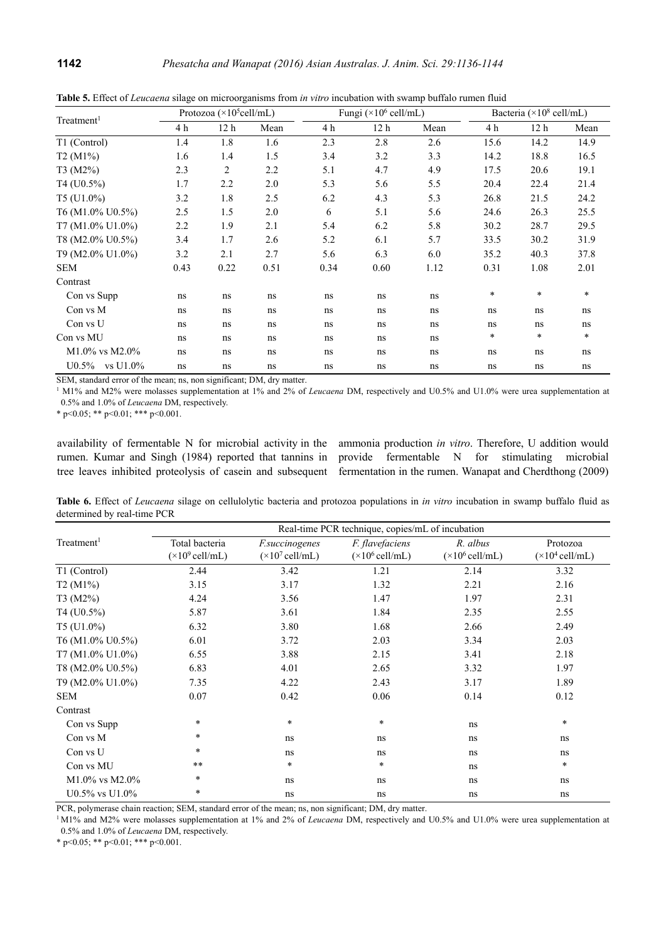| Treatment <sup>1</sup> | Protozoa ( $\times$ 10 <sup>5</sup> cell/mL) |                 |      |      | Fungi ( $\times$ 10 <sup>6</sup> cell/mL) |      |        | Bacteria ( $\times$ 10 <sup>8</sup> cell/mL) |        |  |
|------------------------|----------------------------------------------|-----------------|------|------|-------------------------------------------|------|--------|----------------------------------------------|--------|--|
|                        | 4 h                                          | 12 <sub>h</sub> | Mean | 4 h  | 12 h                                      | Mean | 4 h    | 12 <sub>h</sub>                              | Mean   |  |
| T1 (Control)           | 1.4                                          | 1.8             | 1.6  | 2.3  | 2.8                                       | 2.6  | 15.6   | 14.2                                         | 14.9   |  |
| T2 (M1%)               | 1.6                                          | 1.4             | 1.5  | 3.4  | 3.2                                       | 3.3  | 14.2   | 18.8                                         | 16.5   |  |
| T3 (M2%)               | 2.3                                          | $\overline{2}$  | 2.2  | 5.1  | 4.7                                       | 4.9  | 17.5   | 20.6                                         | 19.1   |  |
| $T4 (U0.5\%)$          | 1.7                                          | 2.2             | 2.0  | 5.3  | 5.6                                       | 5.5  | 20.4   | 22.4                                         | 21.4   |  |
| T5 (U1.0%)             | 3.2                                          | 1.8             | 2.5  | 6.2  | 4.3                                       | 5.3  | 26.8   | 21.5                                         | 24.2   |  |
| T6 (M1.0% U0.5%)       | 2.5                                          | 1.5             | 2.0  | 6    | 5.1                                       | 5.6  | 24.6   | 26.3                                         | 25.5   |  |
| T7 (M1.0% U1.0%)       | 2.2                                          | 1.9             | 2.1  | 5.4  | 6.2                                       | 5.8  | 30.2   | 28.7                                         | 29.5   |  |
| T8 (M2.0% U0.5%)       | 3.4                                          | 1.7             | 2.6  | 5.2  | 6.1                                       | 5.7  | 33.5   | 30.2                                         | 31.9   |  |
| T9 (M2.0% U1.0%)       | 3.2                                          | 2.1             | 2.7  | 5.6  | 6.3                                       | 6.0  | 35.2   | 40.3                                         | 37.8   |  |
| <b>SEM</b>             | 0.43                                         | 0.22            | 0.51 | 0.34 | 0.60                                      | 1.12 | 0.31   | 1.08                                         | 2.01   |  |
| Contrast               |                                              |                 |      |      |                                           |      |        |                                              |        |  |
| Con vs Supp            | ns                                           | ns              | ns   | ns   | ns                                        | ns   | $\ast$ | $\ast$                                       | $\ast$ |  |
| Con vs M               | ns                                           | ns              | ns   | ns   | ns                                        | ns   | ns     | ns                                           | ns     |  |
| Con vs U               | ns                                           | ns              | ns   | ns   | ns                                        | ns   | ns     | ns                                           | ns     |  |
| Con vs MU              | ns                                           | ns              | ns   | ns   | ns                                        | ns   | *      | *                                            | $\ast$ |  |
| $M1.0\%$ vs $M2.0\%$   | ns                                           | ns              | ns   | ns   | ns                                        | ns   | ns     | ns                                           | ns     |  |
| $U0.5\%$ vs $U1.0\%$   | ns                                           | ns              | ns   | ns   | ns                                        | ns   | ns     | ns                                           | ns     |  |

**Table 5.** Effect of *Leucaena* silage on microorganisms from *in vitro* incubation with swamp buffalo rumen fluid

SEM, standard error of the mean; ns, non significant; DM, dry matter.

<sup>1</sup> M1% and M2% were molasses supplementation at 1% and 2% of *Leucaena* DM, respectively and U0.5% and U1.0% were urea supplementation at 0.5% and 1.0% of *Leucaena* DM, respectively.

\* p<0.05; \*\* p<0.01; \*\*\* p<0.001.

availability of fermentable N for microbial activity in the ammonia production *in vitro*. Therefore, U addition would rumen. Kumar and Singh (1984) reported that tannins in provide fermentable N for stimulating microbial tree leaves inhibited proteolysis of casein and subsequent fermentation in the rumen. Wanapat and Cherdthong (2009)

**Table 6.** Effect of *Leucaena* silage on cellulolytic bacteria and protozoa populations in *in vitro* incubation in swamp buffalo fluid as determined by real-time PCR

|                        | Real-time PCR technique, copies/mL of incubation |                                 |                                 |                                 |                                 |  |  |  |  |
|------------------------|--------------------------------------------------|---------------------------------|---------------------------------|---------------------------------|---------------------------------|--|--|--|--|
| Treatment <sup>1</sup> | Total bacteria                                   | <i>F.succinogenes</i>           | <i>F. flavefaciens</i>          | R. albus                        | Protozoa                        |  |  |  |  |
|                        | $(\times 10^9 \text{ cell/mL})$                  | $(\times 10^7 \text{ cell/mL})$ | $(\times 10^6 \text{ cell/mL})$ | $(\times 10^6 \text{ cell/mL})$ | $(\times 10^4 \text{ cell/mL})$ |  |  |  |  |
| T1 (Control)           | 2.44                                             | 3.42                            | 1.21                            | 2.14                            | 3.32                            |  |  |  |  |
| T2 (M1%)               | 3.15                                             | 3.17                            | 1.32                            | 2.21                            | 2.16                            |  |  |  |  |
| T3 (M2%)               | 4.24                                             | 3.56                            | 1.47                            | 1.97                            | 2.31                            |  |  |  |  |
| $T4 (U0.5\%)$          | 5.87                                             | 3.61                            | 1.84                            | 2.35                            | 2.55                            |  |  |  |  |
| $T5$ (U1.0%)           | 6.32                                             | 3.80                            | 1.68                            | 2.66                            | 2.49                            |  |  |  |  |
| T6 (M1.0% U0.5%)       | 6.01                                             | 3.72                            | 2.03                            | 3.34                            | 2.03                            |  |  |  |  |
| T7 (M1.0% U1.0%)       | 6.55                                             | 3.88                            | 2.15                            | 3.41                            | 2.18                            |  |  |  |  |
| T8 (M2.0% U0.5%)       | 6.83                                             | 4.01                            | 2.65                            | 3.32                            | 1.97                            |  |  |  |  |
| T9 (M2.0% U1.0%)       | 7.35                                             | 4.22                            | 2.43                            | 3.17                            | 1.89                            |  |  |  |  |
| <b>SEM</b>             | 0.07                                             | 0.42                            | 0.06                            | 0.14                            | 0.12                            |  |  |  |  |
| Contrast               |                                                  |                                 |                                 |                                 |                                 |  |  |  |  |
| Con vs Supp            | $\ast$                                           | $\star$                         | $\ast$                          | ns                              | $\ast$                          |  |  |  |  |
| Con vs M               | $\ast$                                           | ns                              | ns                              | ns                              | ns                              |  |  |  |  |
| Con vs U               | $\ast$                                           | ns                              | ns                              | ns                              | ns                              |  |  |  |  |
| Con vs MU              | $\star\star$                                     | $\ast$                          | $\ast$                          | ns                              | $\ast$                          |  |  |  |  |
| $M1.0\%$ vs $M2.0\%$   | $\ast$                                           | ns                              | ns                              | ns                              | ns                              |  |  |  |  |
| $U0.5\%$ vs $U1.0\%$   | $\ast$                                           | ns                              | ns                              | ns                              | ns                              |  |  |  |  |

PCR, polymerase chain reaction; SEM, standard error of the mean; ns, non significant; DM, dry matter.

<sup>1</sup> M1% and M2% were molasses supplementation at 1% and 2% of *Leucaena* DM, respectively and U0.5% and U1.0% were urea supplementation at 0.5% and 1.0% of *Leucaena* DM, respectively.

\* p<0.05; \*\* p<0.01; \*\*\* p<0.001.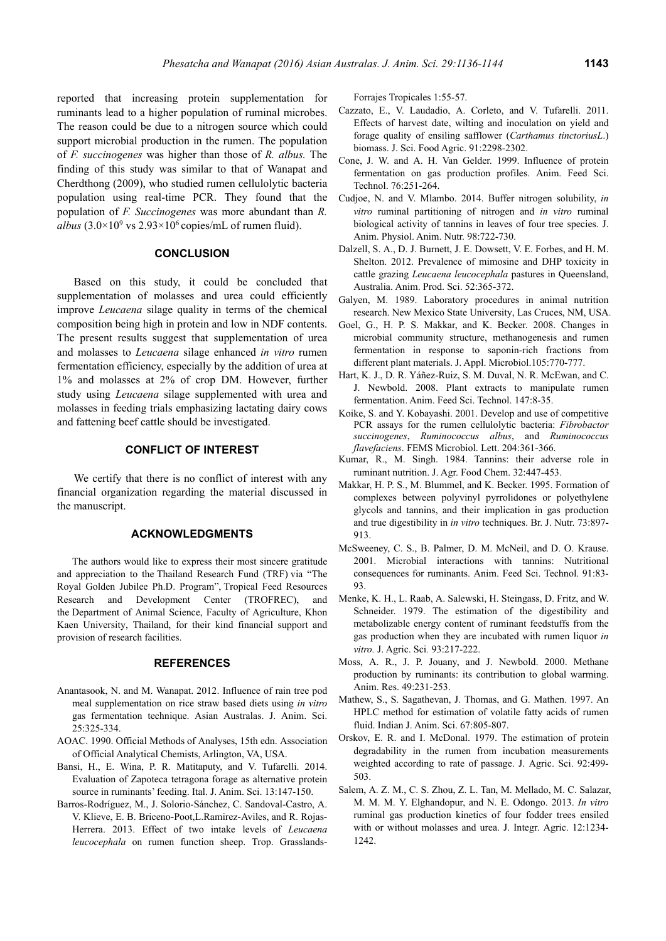reported that increasing protein supplementation for ruminants lead to a higher population of ruminal microbes. The reason could be due to a nitrogen source which could support microbial production in the rumen. The population of *F. succinogenes* was higher than those of *R. albus.* The finding of this study was similar to that of Wanapat and Cherdthong (2009), who studied rumen cellulolytic bacteria population using real-time PCR. They found that the population of *F. Succinogenes* was more abundant than *R.*  albus  $(3.0 \times 10^9 \text{ vs } 2.93 \times 10^6 \text{ copies/mL of rumen fluid}).$ 

## **CONCLUSION**

Based on this study, it could be concluded that supplementation of molasses and urea could efficiently improve *Leucaena* silage quality in terms of the chemical composition being high in protein and low in NDF contents. The present results suggest that supplementation of urea and molasses to *Leucaena* silage enhanced *in vitro* rumen fermentation efficiency, especially by the addition of urea at 1% and molasses at 2% of crop DM. However, further study using *Leucaena* silage supplemented with urea and molasses in feeding trials emphasizing lactating dairy cows and fattening beef cattle should be investigated.

# **CONFLICT OF INTEREST**

We certify that there is no conflict of interest with any financial organization regarding the material discussed in the manuscript.

# **ACKNOWLEDGMENTS**

The authors would like to express their most sincere gratitude and appreciation to the Thailand Research Fund (TRF) via "The Royal Golden Jubilee Ph.D. Program", Tropical Feed Resources Research and Development Center (TROFREC), and the Department of Animal Science, Faculty of Agriculture, Khon Kaen University, Thailand, for their kind financial support and provision of research facilities.

## **REFERENCES**

- Anantasook, N. and M. Wanapat. 2012. Influence of rain tree pod meal supplementation on rice straw based diets using *in vitro*  gas fermentation technique. Asian Australas. J. Anim. Sci. 25:325-334.
- AOAC. 1990. Official Methods of Analyses, 15th edn. Association of Official Analytical Chemists, Arlington, VA, USA.
- Bansi, H., E. Wina, P. R. Matitaputy, and V. Tufarelli. 2014. Evaluation of Zapoteca tetragona forage as alternative protein source in ruminants' feeding. Ital. J. Anim. Sci. 13:147-150.
- Barros-Rodríguez, M., J. Solorio-Sánchez, C. Sandoval-Castro, A. V. Klieve, E. B. Briceno-Poot,L.Ramirez-Aviles, and R. Rojas-Herrera. 2013. Effect of two intake levels of *Leucaena leucocephala* on rumen function sheep. Trop. Grasslands-

Forrajes Tropicales 1:55-57.

- Cazzato, E., V. Laudadio, A. Corleto, and V. Tufarelli. 2011. Effects of harvest date, wilting and inoculation on yield and forage quality of ensiling safflower (*Carthamus tinctoriusL*.) biomass. J. Sci. Food Agric. 91:2298-2302.
- Cone, J. W. and A. H. Van Gelder. 1999. Influence of protein fermentation on gas production profiles. Anim. Feed Sci. Technol. 76:251-264.
- Cudjoe, N. and V. Mlambo. 2014. Buffer nitrogen solubility, *in vitro* ruminal partitioning of nitrogen and *in vitro* ruminal biological activity of tannins in leaves of four tree species. J. Anim. Physiol. Anim. Nutr. 98:722-730.
- Dalzell, S. A., D. J. Burnett, J. E. Dowsett, V. E. Forbes, and H. M. Shelton. 2012. Prevalence of mimosine and DHP toxicity in cattle grazing *Leucaena leucocephala* pastures in Queensland, Australia. Anim. Prod. Sci. 52:365-372.
- Galyen, M. 1989. Laboratory procedures in animal nutrition research. New Mexico State University, Las Cruces, NM, USA.
- Goel, G., H. P. S. Makkar, and K. Becker. 2008. Changes in microbial community structure, methanogenesis and rumen fermentation in response to saponin-rich fractions from different plant materials. J. Appl. Microbiol.105:770-777.
- Hart, K. J., D. R. Yáñez-Ruiz, S. M. Duval, N. R. McEwan, and C. J. Newbold. 2008. Plant extracts to manipulate rumen fermentation. Anim. Feed Sci. Technol. 147:8-35.
- Koike, S. and Y. Kobayashi. 2001. Develop and use of competitive PCR assays for the rumen cellulolytic bacteria: *Fibrobactor succinogenes*, *Ruminococcus albus*, and *Ruminococcus flavefaciens*. FEMS Microbiol. Lett. 204:361-366.
- Kumar, R., M. Singh. 1984. Tannins: their adverse role in ruminant nutrition. J. Agr. Food Chem. 32:447-453.
- Makkar, H. P. S., M. Blummel, and K. Becker. 1995. Formation of complexes between polyvinyl pyrrolidones or polyethylene glycols and tannins, and their implication in gas production and true digestibility in *in vitro* techniques. Br. J. Nutr. 73:897- 913.
- McSweeney, C. S., B. Palmer, D. M. McNeil, and D. O. Krause. 2001. Microbial interactions with tannins: Nutritional consequences for ruminants. Anim. Feed Sci. Technol. 91:83- 93.
- Menke, K. H., L. Raab, A. Salewski, H. Steingass, D. Fritz, and W. Schneider. 1979. The estimation of the digestibility and metabolizable energy content of ruminant feedstuffs from the gas production when they are incubated with rumen liquor *in vitro.* J. Agric. Sci*.* 93:217-222.
- Moss, A. R., J. P. Jouany, and J. Newbold. 2000. Methane production by ruminants: its contribution to global warming. Anim. Res. 49:231-253.
- Mathew, S., S. Sagathevan, J. Thomas, and G. Mathen. 1997. An HPLC method for estimation of volatile fatty acids of rumen fluid. Indian J. Anim. Sci. 67:805-807.
- Orskov, E. R. and I. McDonal. 1979. The estimation of protein degradability in the rumen from incubation measurements weighted according to rate of passage. J. Agric. Sci. 92:499- 503.
- Salem, A. Z. M., C. S. Zhou, Z. L. Tan, M. Mellado, M. C. Salazar, M. M. M. Y. Elghandopur, and N. E. Odongo. 2013. *In vitro*  ruminal gas production kinetics of four fodder trees ensiled with or without molasses and urea. J. Integr. Agric. 12:1234- 1242.